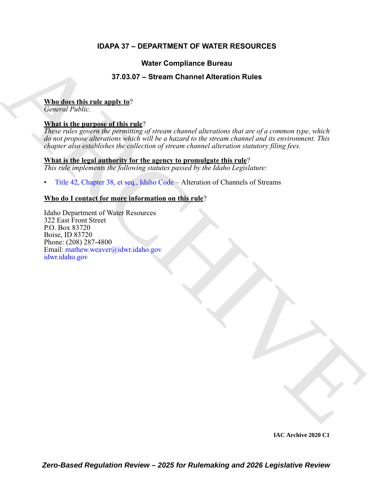### **IDAPA 37 – DEPARTMENT OF WATER RESOURCES**

### **Water Compliance Bureau**

### **37.03.07 – Stream Channel Alteration Rules**

#### **Who does this rule apply to**?

*General Public.*

#### **What is the purpose of this rule**?

**State Compliance Bureau<br>
37.03.07 – Stream Channel Alteration [R](https://legislature.idaho.gov/statutesrules/idstat/Title42/T42CH38/)ules<br>
Model this matrix and this matrix of the parameter of a concerned the complete the state of the parameter of the parameter of the parameter of the para** *These rules govern the permitting of stream channel alterations that are of a common type, which do not propose alterations which will be a hazard to the stream channel and its environment. This chapter also establishes the collection of stream channel alteration statutory filing fees.*

#### **What is the legal authority for the agency to promulgate this rule**?

*This rule implements the following statutes passed by the Idaho Legislature:*

• Title 42, Chapter 38, et seq., Idaho Code – Alteration of Channels of Streams

#### **Who do I contact for more information on this rule**?

Idaho Department of Water Resources 322 East Front Street P.O. Box 83720 Boise, ID 83720 Phone: (208) 287-4800 Email: mathew.weaver@idwr.idaho.gov idwr.idaho.gov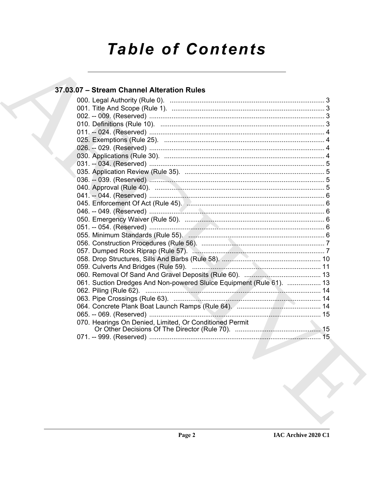# **Table of Contents**

### 37.03.07 - Stream Channel Alteration Rules

| 061. Suction Dredges And Non-powered Sluice Equipment (Rule 61).  13                                            |
|-----------------------------------------------------------------------------------------------------------------|
| 062. Piling (Rule 62).                                                                                          |
|                                                                                                                 |
|                                                                                                                 |
|                                                                                                                 |
| 070. Hearings On Denied, Limited, Or Conditioned Permit                                                         |
|                                                                                                                 |
| the contract of the contract of the contract of the contract of the contract of the contract of the contract of |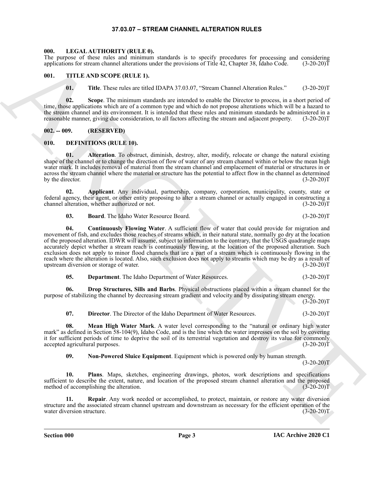#### **37.03.07 – STREAM CHANNEL ALTERATION RULES**

#### <span id="page-2-17"></span><span id="page-2-1"></span><span id="page-2-0"></span>**000. LEGAL AUTHORITY (RULE 0).**

The purpose of these rules and minimum standards is to specify procedures for processing and considering applications for stream channel alterations under the provisions of Title 42, Chapter 38, Idaho Code. (3-20-20)T

#### <span id="page-2-2"></span>**001. TITLE AND SCOPE (RULE 1).**

<span id="page-2-18"></span>**01. Title**. These rules are titled IDAPA 37.03.07, "Stream Channel Alteration Rules." (3-20-20)T

**02. Scope**. The minimum standards are intended to enable the Director to process, in a short period of time, those applications which are of a common type and which do not propose alterations which will be a hazard to the stream channel and its environment. It is intended that these rules and minimum standards be administered in a reasonable manner, giving due consideration, to all factors affecting the stream and adjacent property. (3-20-20)T

<span id="page-2-3"></span>**002. -- 009. (RESERVED)**

#### <span id="page-2-5"></span><span id="page-2-4"></span>**010. DEFINITIONS (RULE 10).**

<span id="page-2-6"></span>**01.** Alteration. To obstruct, diminish, destroy, alter, modify, relocate or change the natural existing shape of the channel or to change the direction of flow of water of any stream channel within or below the mean high water mark. It includes removal of material from the stream channel and emplacement of material or structures in or across the stream channel where the material or structure has the potential to affect flow in the channel as determined by the director. (3-20-20)T

**02. Applicant**. Any individual, partnership, company, corporation, municipality, county, state or federal agency, their agent, or other entity proposing to alter a stream channel or actually engaged in constructing a channel alteration, whether authorized or not. (3-20-20)T

<span id="page-2-9"></span><span id="page-2-8"></span><span id="page-2-7"></span>**03. Board**. The Idaho Water Resource Board. (3-20-20)T

The response of these takes and matterial and the best specifies and the specifies. The procedure of the specifies of the specifies and the specifies of the specifies and the specifies of the specifies and the specifies o **04. Continuously Flowing Water**. A sufficient flow of water that could provide for migration and movement of fish, and excludes those reaches of streams which, in their natural state, normally go dry at the location of the proposed alteration. IDWR will assume, subject to information to the contrary, that the USGS quadrangle maps accurately depict whether a stream reach is continuously flowing, at the location of the proposed alteration. Such exclusion does not apply to minor flood channels that are a part of a stream which is continuously flowing in the reach where the alteration is located. Also, such exclusion does not apply to streams which may be dry as a result of upstream diversion or storage of water. (3-20-20)T

<span id="page-2-12"></span><span id="page-2-10"></span>

| 05. | <b>Department.</b> The Idaho Department of Water Resources. | $(3-20-20)T$ |
|-----|-------------------------------------------------------------|--------------|
|-----|-------------------------------------------------------------|--------------|

**06. Drop Structures, Sills and Barbs**. Physical obstructions placed within a stream channel for the purpose of stabilizing the channel by decreasing stream gradient and velocity and by dissipating stream energy.

 $(3-20-20)$ T

<span id="page-2-13"></span><span id="page-2-11"></span>**07. Director**. The Director of the Idaho Department of Water Resources. (3-20-20)T

**08. Mean High Water Mark**. A water level corresponding to the "natural or ordinary high water mark" as defined in Section 58-104(9), Idaho Code, and is the line which the water impresses on the soil by covering it for sufficient periods of time to deprive the soil of its terrestrial vegetation and destroy its value for commonly accepted agricultural purposes. (3-20-20)T

<span id="page-2-16"></span><span id="page-2-15"></span><span id="page-2-14"></span>**09. Non-Powered Sluice Equipment**. Equipment which is powered only by human strength.

 $(3-20-20)T$ 

**10. Plans**. Maps, sketches, engineering drawings, photos, work descriptions and specifications sufficient to describe the extent, nature, and location of the proposed stream channel alteration and the proposed method of accomplishing the alteration. (3-20-20) method of accomplishing the alteration.

**11. Repair**. Any work needed or accomplished, to protect, maintain, or restore any water diversion structure and the associated stream channel upstream and downstream as necessary for the efficient operation of the water diversion structure. (3-20-20)T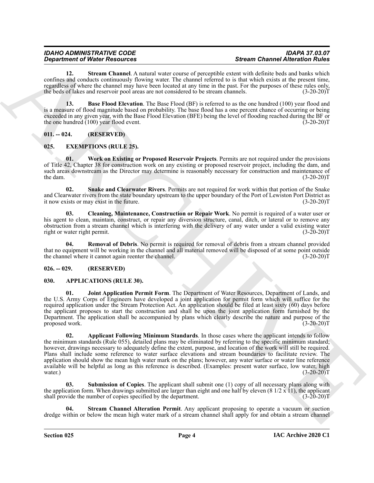<span id="page-3-10"></span>**12. Stream Channel**. A natural water course of perceptible extent with definite beds and banks which confines and conducts continuously flowing water. The channel referred to is that which exists at the present time, regardless of where the channel may have been located at any time in the past. For the purposes of these rules only, the beds of lakes and reservoir pool areas are not considered to be stream channels. (3-20-20) the beds of lakes and reservoir pool areas are not considered to be stream channels.

<span id="page-3-9"></span>13. **Base Flood Elevation**. The Base Flood (BF) is referred to as the one hundred (100) year flood and is a measure of flood magnitude based on probability. The base flood has a one percent chance of occurring or being exceeded in any given year, with the Base Flood Elevation (BFE) being the level of flooding reached during the BF or the one hundred (100) year flood event. (3-20-20)T

<span id="page-3-0"></span>**011. -- 024. (RESERVED)**

#### <span id="page-3-11"></span><span id="page-3-1"></span>**025. EXEMPTIONS (RULE 25).**

<span id="page-3-15"></span>**01. Work on Existing or Proposed Reservoir Projects**. Permits are not required under the provisions of Title 42, Chapter 38 for construction work on any existing or proposed reservoir project, including the dam, and such areas downstream as the Director may determine is reasonably necessary for construction and maintenance of the dam.  $(3-20-20)T$ 

<span id="page-3-14"></span>**02. Snake and Clearwater Rivers**. Permits are not required for work within that portion of the Snake and Clearwater rivers from the state boundary upstream to the upper boundary of the Port of Lewiston Port District as it now exists or may exist in the future. it now exists or may exist in the future.

<span id="page-3-12"></span>**03. Cleaning, Maintenance, Construction or Repair Work**. No permit is required of a water user or his agent to clean, maintain, construct, or repair any diversion structure, canal, ditch, or lateral or to remove any obstruction from a stream channel which is interfering with the delivery of any water under a valid existing water right or water right permit. (3-20-20)T

<span id="page-3-13"></span>**04. Removal of Debris**. No permit is required for removal of debris from a stream channel provided that no equipment will be working in the channel and all material removed will be disposed of at some point outside<br>the channel where it cannot again reenter the channel. (3-20-20) the channel where it cannot again reenter the channel.

#### <span id="page-3-2"></span>**026. -- 029. (RESERVED)**

#### <span id="page-3-4"></span><span id="page-3-3"></span>**030. APPLICATIONS (RULE 30).**

<span id="page-3-6"></span><span id="page-3-5"></span>**Joint Application Permit Form**. The Department of Water Resources, Department of Lands, and the U.S. Army Corps of Engineers have developed a joint application for permit form which will suffice for the required application under the Stream Protection Act. An application should be filed at least sixty (60) days before the applicant proposes to start the construction and shall be upon the joint application form furnished by the Department. The application shall be accompanied by plans which clearly describe the nature and purpose of the proposed work. (3-20-20)T

**Spearing of Nice News Propose Respectively.** Strengthen cost when Channel Meridian in the spearing of the spearing of the spearing of the spearing of the spearing and the spearing and the spearing and the spearing and th **02. Applicant Following Minimum Standards**. In those cases where the applicant intends to follow the minimum standards (Rule 055), detailed plans may be eliminated by referring to the specific minimum standard; however, drawings necessary to adequately define the extent, purpose, and location of the work will still be required. Plans shall include some reference to water surface elevations and stream boundaries to facilitate review. The application should show the mean high water mark on the plans; however, any water surface or water line reference available will be helpful as long as this reference is described. (Examples: present water surface, low water, high water.) (3-20-20) water.)  $(3-20-20)T$ 

<span id="page-3-8"></span>Submission of Copies. The applicant shall submit one (1) copy of all necessary plans along with the application form. When drawings submitted are larger than eight and one half by eleven  $(8\frac{1}{2} \times 1)$ , the applicant shall provide the number of copies specified by the department. (3-20-20)T

<span id="page-3-7"></span>**Stream Channel Alteration Permit.** Any applicant proposing to operate a vacuum or suction dredge within or below the mean high water mark of a stream channel shall apply for and obtain a stream channel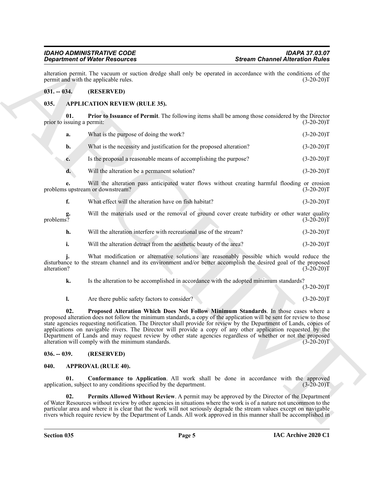## *Department of Water Resources*

alteration permit. The vacuum or suction dredge shall only be operated in accordance with the conditions of the permit and with the applicable rules. (3-20-20) permit and with the applicable rules.

#### <span id="page-4-0"></span>**031. -- 034. (RESERVED)**

#### <span id="page-4-4"></span><span id="page-4-1"></span>**035. APPLICATION REVIEW (RULE 35).**

**01. Prior to Issuance of Permit**. The following items shall be among those considered by the Director prior to issuing a permit: (3-20-20)T

<span id="page-4-5"></span>

| What is the purpose of doing the work? | $(3-20-20)T$ |
|----------------------------------------|--------------|
|                                        |              |

**b.** What is the necessity and justification for the proposed alteration? (3-20-20)T

- **c.** Is the proposal a reasonable means of accomplishing the purpose? (3-20-20)T
- **d.** Will the alteration be a permanent solution? (3-20-20)T

**e.** Will the alteration pass anticipated water flows without creating harmful flooding or erosion supstream or downstream? (3-20-20) problems upstream or downstream?

**f.** What effect will the alteration have on fish habitat? (3-20-20)T

**g.** Will the materials used or the removal of ground cover create turbidity or other water quality problems? (3-20-20)T problems?  $(3-20-20)$ T

- **h.** Will the alteration interfere with recreational use of the stream? (3-20-20)T
- **i.** Will the alteration detract from the aesthetic beauty of the area? (3-20-20)T

**j.** What modification or alternative solutions are reasonably possible which would reduce the disturbance to the stream channel and its environment and/or better accomplish the desired goal of the proposed alteration? (3-20-20)T

**k.** Is the alteration to be accomplished in accordance with the adopted minimum standards?  $(3-20-20)T$ 

### <span id="page-4-6"></span>**l.** Are there public safety factors to consider? (3-20-20)T

**Example the Vietnessen Channel Alternion Night<br>
2)**  $\frac{3}{2}$ **<br>
2)**  $\frac{3}{2}$ **<br>
2)**  $\frac{3}{2}$ **<br>
2)**  $\frac{3}{2}$ **<br>
2)**  $\frac{3}{2}$ **<br>
3)**  $\frac{3}{2}$ **<br>
3)**  $\frac{3}{2}$ **<br>
3)**  $\frac{3}{2}$ **<br>
3)**  $\frac{3}{2}$ **<br>
3)**  $\frac{3}{2}$ **<br>
3)**  $\frac{3}{2}$ **<br>
3)**  $\frac{3}{2}$ **<br>
3) 02. Proposed Alteration Which Does Not Follow Minimum Standards**. In those cases where a proposed alteration does not follow the minimum standards, a copy of the application will be sent for review to those state agencies requesting notification. The Director shall provide for review by the Department of Lands, copies of applications on navigable rivers. The Director will provide a copy of any other application requested by the Department of Lands and may request review by other state agencies regardless of whether or not the proposed alteration will comply with the minimum standards. (3-20-20)T

#### <span id="page-4-2"></span>**036. -- 039. (RESERVED)**

#### <span id="page-4-7"></span><span id="page-4-3"></span>**040. APPROVAL (RULE 40).**

<span id="page-4-8"></span>**01. Conformance to Application**. All work shall be done in accordance with the approved application, subject to any conditions specified by the department. (3-20-20)T

<span id="page-4-9"></span>**02. Permits Allowed Without Review**. A permit may be approved by the Director of the Department of Water Resources without review by other agencies in situations where the work is of a nature not uncommon to the particular area and where it is clear that the work will not seriously degrade the stream values except on navigable rivers which require review by the Department of Lands. All work approved in this manner shall be accomplished in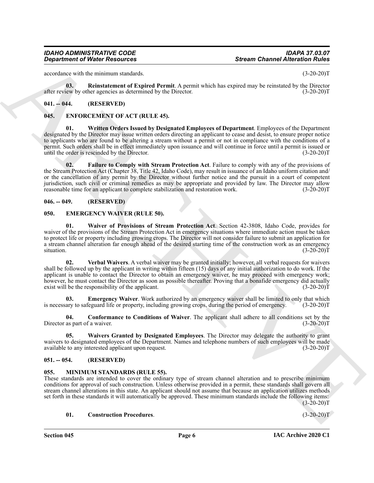#### *IDAHO ADMINISTRATIVE CODE IDAPA 37.03.07 Department of Water Resources*

accordance with the minimum standards. (3-20-20)T

<span id="page-5-6"></span>**03. Reinstatement of Expired Permit**. A permit which has expired may be reinstated by the Director after review by other agencies as determined by the Director. (3-20-20)T

#### <span id="page-5-0"></span>**041. -- 044. (RESERVED)**

#### <span id="page-5-15"></span><span id="page-5-13"></span><span id="page-5-1"></span>**045. ENFORCEMENT OF ACT (RULE 45).**

**Consideration of Nicity Research 6 Security Consumer Channel Alternation (1978)**<br>
Security the simulation state of Papiers A. Security which has equivalency be released by the present<br>
Security of the security of Papiers **01. Written Orders Issued by Designated Employees of Department**. Employees of the Department designated by the Director may issue written orders directing an applicant to cease and desist, to ensure proper notice to applicants who are found to be altering a stream without a permit or not in compliance with the conditions of a permit. Such orders shall be in effect immediately upon issuance and will continue in force until a permit is issued or until the order is rescinded by the Director. (3-20-20)T

<span id="page-5-14"></span>**02. Failure to Comply with Stream Protection Act**. Failure to comply with any of the provisions of the Stream Protection Act (Chapter 38, Title 42, Idaho Code), may result in issuance of an Idaho uniform citation and/ or the cancellation of any permit by the Director without further notice and the pursuit in a court of competent jurisdiction, such civil or criminal remedies as may be appropriate and provided by law. The Director may allow reasonable time for an applicant to complete stabilization and restoration work.

#### <span id="page-5-2"></span>**046. -- 049. (RESERVED)**

#### <span id="page-5-7"></span><span id="page-5-3"></span>**050. EMERGENCY WAIVER (RULE 50).**

<span id="page-5-11"></span>**01. Waiver of Provisions of Stream Protection Act**. Section 42-3808, Idaho Code, provides for waiver of the provisions of the Stream Protection Act in emergency situations where immediate action must be taken to protect life or property including growing crops. The Director will not consider failure to submit an application for a stream channel alteration far enough ahead of the desired starting time of the construction work as an emergency situation.  $(3-20-20)T$ 

<span id="page-5-10"></span>**02. Verbal Waivers**. A verbal waiver may be granted initially; however, all verbal requests for waivers shall be followed up by the applicant in writing within fifteen (15) days of any initial authorization to do work. If the applicant is unable to contact the Director to obtain an emergency waiver, he may proceed with emergency work; however, he must contact the Director as soon as possible thereafter. Proving that a bonafide emergency did actually exist will be the responsibility of the applicant. (3-20-20)T

<span id="page-5-9"></span>**03. Emergency Waiver**. Work authorized by an emergency waiver shall be limited to only that which is necessary to safeguard life or property, including growing crops, during the period of emergency. (3-20-20)T

<span id="page-5-8"></span>**04. Conformance to Conditions of Waiver**. The applicant shall adhere to all conditions set by the Director as part of a waiver. (3-20-20)T

<span id="page-5-12"></span>**05. Waivers Granted by Designated Employees**. The Director may delegate the authority to grant waivers to designated employees of the Department. Names and telephone numbers of such employees will be made available to any interested applicant upon request. (3-20-20) available to any interested applicant upon request.

#### <span id="page-5-4"></span>**051. -- 054. (RESERVED)**

#### <span id="page-5-16"></span><span id="page-5-5"></span>**055. MINIMUM STANDARDS (RULE 55).**

These standards are intended to cover the ordinary type of stream channel alteration and to prescribe minimum conditions for approval of such construction. Unless otherwise provided in a permit, these standards shall govern all stream channel alterations in this state. An applicant should not assume that because an application utilizes methods set forth in these standards it will automatically be approved. These minimum standards include the following items:  $(3-20-20)T$ 

#### <span id="page-5-17"></span>**01. Construction Procedures**. (3-20-20)T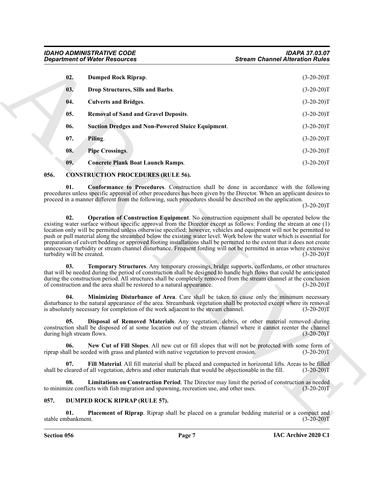<span id="page-6-16"></span><span id="page-6-15"></span>

| 02.<br>Dumped Rock Riprap.<br>$(3-20-20)T$<br>03.<br>Drop Structures, Sills and Barbs.<br>$(3-20-20)T$<br><b>Culverts and Bridges.</b><br>$(3-20-20)T$<br>04.<br>05.<br><b>Removal of Sand and Gravel Deposits.</b><br>$(3-20-20)T$<br><b>Suction Dredges and Non-Powered Sluice Equipment.</b><br>06.<br>$(3-20-20)T$<br>07.<br>$(3-20-20)T$<br>Piling.<br>08.<br><b>Pipe Crossings.</b><br>$(3-20-20)T$<br>09.<br><b>Concrete Plank Boat Launch Ramps.</b><br>$(3-20-20)T$<br>056.<br><b>CONSTRUCTION PROCEDURES (RULE 56).</b><br><b>Conformance to Procedures.</b> Construction shall be done in accordance with the following<br>01.<br>procedures unless specific approval of other procedures has been given by the Director. When an applicant desires to<br>proceed in a manner different from the following, such procedures should be described on the application.<br>$(3-20-20)T$<br>02.<br><b>Operation of Construction Equipment</b> . No construction equipment shall be operated below the<br>existing water surface without specific approval from the Director except as follows: Fording the stream at one (1)<br>location only will be permitted unless otherwise specified; however, vehicles and equipment will not be permitted to<br>push or pull material along the streambed below the existing water level. Work below the water which is essential for<br>preparation of culvert bedding or approved footing installations shall be permitted to the extent that it does not create<br>unnecessary turbidity or stream channel disturbance. Frequent fording will not be permitted in areas where extensive<br>turbidity will be created.<br>$(3-20-20)T$<br>Temporary Structures. Any temporary crossings, bridge supports, cofferdams, or other structures<br>03.<br>that will be needed during the period of construction shall be designed to handle high flows that could be anticipated<br>during the construction period. All structures shall be completely removed from the stream channel at the conclusion<br>of construction and the area shall be restored to a natural appearance.<br>$(3-20-20)T$<br>Minimizing Disturbance of Area. Care shall be taken to cause only the minimum necessary<br>04.<br>disturbance to the natural appearance of the area. Streambank vegetation shall be protected except where its removal<br>is absolutely necessary for completion of the work adjacent to the stream channel.<br>$(3-20-20)T$<br>Disposal of Removed Materials. Any vegetation, debris, or other material removed during<br>05.<br>construction shall be disposed of at some location out of the stream channel where it cannot reenter the channel<br>$(3-20-20)T$<br>during high stream flows.<br>New Cut of Fill Slopes. All new cut or fill slopes that will not be protected with some form of<br>06.<br>riprap shall be seeded with grass and planted with native vegetation to prevent erosion.<br>$(3-20-20)T$<br>Fill Material. All fill material shall be placed and compacted in horizontal lifts. Areas to be filled<br>07.<br>shall be cleared of all vegetation, debris and other materials that would be objectionable in the fill.<br>$(3-20-20)T$<br>Limitations on Construction Period. The Director may limit the period of construction as needed<br>08.<br>to minimize conflicts with fish migration and spawning, recreation use, and other uses.<br>$(3-20-20)T$<br>057.<br><b>DUMPED ROCK RIPRAP (RULE 57).</b><br>01.<br><b>Placement of Riprap</b> . Riprap shall be placed on a granular bedding material or a compact and<br>stable embankment.<br>$(3-20-20)T$ | <b>Department of Water Resources</b> | <b>Stream Channel Alteration Rules</b> |  |
|---------------------------------------------------------------------------------------------------------------------------------------------------------------------------------------------------------------------------------------------------------------------------------------------------------------------------------------------------------------------------------------------------------------------------------------------------------------------------------------------------------------------------------------------------------------------------------------------------------------------------------------------------------------------------------------------------------------------------------------------------------------------------------------------------------------------------------------------------------------------------------------------------------------------------------------------------------------------------------------------------------------------------------------------------------------------------------------------------------------------------------------------------------------------------------------------------------------------------------------------------------------------------------------------------------------------------------------------------------------------------------------------------------------------------------------------------------------------------------------------------------------------------------------------------------------------------------------------------------------------------------------------------------------------------------------------------------------------------------------------------------------------------------------------------------------------------------------------------------------------------------------------------------------------------------------------------------------------------------------------------------------------------------------------------------------------------------------------------------------------------------------------------------------------------------------------------------------------------------------------------------------------------------------------------------------------------------------------------------------------------------------------------------------------------------------------------------------------------------------------------------------------------------------------------------------------------------------------------------------------------------------------------------------------------------------------------------------------------------------------------------------------------------------------------------------------------------------------------------------------------------------------------------------------------------------------------------------------------------------------------------------------------------------------------------------------------------------------------------------------------------------------------------------------------------------------------------------------------------------------------------------------------------------------------------------------------------------------------------------------------------------------------------------------------------------------------------------------------------------------------------------------------------------------------------------------------------------------------------------------------------------------|--------------------------------------|----------------------------------------|--|
|                                                                                                                                                                                                                                                                                                                                                                                                                                                                                                                                                                                                                                                                                                                                                                                                                                                                                                                                                                                                                                                                                                                                                                                                                                                                                                                                                                                                                                                                                                                                                                                                                                                                                                                                                                                                                                                                                                                                                                                                                                                                                                                                                                                                                                                                                                                                                                                                                                                                                                                                                                                                                                                                                                                                                                                                                                                                                                                                                                                                                                                                                                                                                                                                                                                                                                                                                                                                                                                                                                                                                                                                                                             |                                      |                                        |  |
|                                                                                                                                                                                                                                                                                                                                                                                                                                                                                                                                                                                                                                                                                                                                                                                                                                                                                                                                                                                                                                                                                                                                                                                                                                                                                                                                                                                                                                                                                                                                                                                                                                                                                                                                                                                                                                                                                                                                                                                                                                                                                                                                                                                                                                                                                                                                                                                                                                                                                                                                                                                                                                                                                                                                                                                                                                                                                                                                                                                                                                                                                                                                                                                                                                                                                                                                                                                                                                                                                                                                                                                                                                             |                                      |                                        |  |
|                                                                                                                                                                                                                                                                                                                                                                                                                                                                                                                                                                                                                                                                                                                                                                                                                                                                                                                                                                                                                                                                                                                                                                                                                                                                                                                                                                                                                                                                                                                                                                                                                                                                                                                                                                                                                                                                                                                                                                                                                                                                                                                                                                                                                                                                                                                                                                                                                                                                                                                                                                                                                                                                                                                                                                                                                                                                                                                                                                                                                                                                                                                                                                                                                                                                                                                                                                                                                                                                                                                                                                                                                                             |                                      |                                        |  |
|                                                                                                                                                                                                                                                                                                                                                                                                                                                                                                                                                                                                                                                                                                                                                                                                                                                                                                                                                                                                                                                                                                                                                                                                                                                                                                                                                                                                                                                                                                                                                                                                                                                                                                                                                                                                                                                                                                                                                                                                                                                                                                                                                                                                                                                                                                                                                                                                                                                                                                                                                                                                                                                                                                                                                                                                                                                                                                                                                                                                                                                                                                                                                                                                                                                                                                                                                                                                                                                                                                                                                                                                                                             |                                      |                                        |  |
|                                                                                                                                                                                                                                                                                                                                                                                                                                                                                                                                                                                                                                                                                                                                                                                                                                                                                                                                                                                                                                                                                                                                                                                                                                                                                                                                                                                                                                                                                                                                                                                                                                                                                                                                                                                                                                                                                                                                                                                                                                                                                                                                                                                                                                                                                                                                                                                                                                                                                                                                                                                                                                                                                                                                                                                                                                                                                                                                                                                                                                                                                                                                                                                                                                                                                                                                                                                                                                                                                                                                                                                                                                             |                                      |                                        |  |
|                                                                                                                                                                                                                                                                                                                                                                                                                                                                                                                                                                                                                                                                                                                                                                                                                                                                                                                                                                                                                                                                                                                                                                                                                                                                                                                                                                                                                                                                                                                                                                                                                                                                                                                                                                                                                                                                                                                                                                                                                                                                                                                                                                                                                                                                                                                                                                                                                                                                                                                                                                                                                                                                                                                                                                                                                                                                                                                                                                                                                                                                                                                                                                                                                                                                                                                                                                                                                                                                                                                                                                                                                                             |                                      |                                        |  |
|                                                                                                                                                                                                                                                                                                                                                                                                                                                                                                                                                                                                                                                                                                                                                                                                                                                                                                                                                                                                                                                                                                                                                                                                                                                                                                                                                                                                                                                                                                                                                                                                                                                                                                                                                                                                                                                                                                                                                                                                                                                                                                                                                                                                                                                                                                                                                                                                                                                                                                                                                                                                                                                                                                                                                                                                                                                                                                                                                                                                                                                                                                                                                                                                                                                                                                                                                                                                                                                                                                                                                                                                                                             |                                      |                                        |  |
|                                                                                                                                                                                                                                                                                                                                                                                                                                                                                                                                                                                                                                                                                                                                                                                                                                                                                                                                                                                                                                                                                                                                                                                                                                                                                                                                                                                                                                                                                                                                                                                                                                                                                                                                                                                                                                                                                                                                                                                                                                                                                                                                                                                                                                                                                                                                                                                                                                                                                                                                                                                                                                                                                                                                                                                                                                                                                                                                                                                                                                                                                                                                                                                                                                                                                                                                                                                                                                                                                                                                                                                                                                             |                                      |                                        |  |
|                                                                                                                                                                                                                                                                                                                                                                                                                                                                                                                                                                                                                                                                                                                                                                                                                                                                                                                                                                                                                                                                                                                                                                                                                                                                                                                                                                                                                                                                                                                                                                                                                                                                                                                                                                                                                                                                                                                                                                                                                                                                                                                                                                                                                                                                                                                                                                                                                                                                                                                                                                                                                                                                                                                                                                                                                                                                                                                                                                                                                                                                                                                                                                                                                                                                                                                                                                                                                                                                                                                                                                                                                                             |                                      |                                        |  |
|                                                                                                                                                                                                                                                                                                                                                                                                                                                                                                                                                                                                                                                                                                                                                                                                                                                                                                                                                                                                                                                                                                                                                                                                                                                                                                                                                                                                                                                                                                                                                                                                                                                                                                                                                                                                                                                                                                                                                                                                                                                                                                                                                                                                                                                                                                                                                                                                                                                                                                                                                                                                                                                                                                                                                                                                                                                                                                                                                                                                                                                                                                                                                                                                                                                                                                                                                                                                                                                                                                                                                                                                                                             |                                      |                                        |  |
|                                                                                                                                                                                                                                                                                                                                                                                                                                                                                                                                                                                                                                                                                                                                                                                                                                                                                                                                                                                                                                                                                                                                                                                                                                                                                                                                                                                                                                                                                                                                                                                                                                                                                                                                                                                                                                                                                                                                                                                                                                                                                                                                                                                                                                                                                                                                                                                                                                                                                                                                                                                                                                                                                                                                                                                                                                                                                                                                                                                                                                                                                                                                                                                                                                                                                                                                                                                                                                                                                                                                                                                                                                             |                                      |                                        |  |
|                                                                                                                                                                                                                                                                                                                                                                                                                                                                                                                                                                                                                                                                                                                                                                                                                                                                                                                                                                                                                                                                                                                                                                                                                                                                                                                                                                                                                                                                                                                                                                                                                                                                                                                                                                                                                                                                                                                                                                                                                                                                                                                                                                                                                                                                                                                                                                                                                                                                                                                                                                                                                                                                                                                                                                                                                                                                                                                                                                                                                                                                                                                                                                                                                                                                                                                                                                                                                                                                                                                                                                                                                                             |                                      |                                        |  |
|                                                                                                                                                                                                                                                                                                                                                                                                                                                                                                                                                                                                                                                                                                                                                                                                                                                                                                                                                                                                                                                                                                                                                                                                                                                                                                                                                                                                                                                                                                                                                                                                                                                                                                                                                                                                                                                                                                                                                                                                                                                                                                                                                                                                                                                                                                                                                                                                                                                                                                                                                                                                                                                                                                                                                                                                                                                                                                                                                                                                                                                                                                                                                                                                                                                                                                                                                                                                                                                                                                                                                                                                                                             |                                      |                                        |  |
|                                                                                                                                                                                                                                                                                                                                                                                                                                                                                                                                                                                                                                                                                                                                                                                                                                                                                                                                                                                                                                                                                                                                                                                                                                                                                                                                                                                                                                                                                                                                                                                                                                                                                                                                                                                                                                                                                                                                                                                                                                                                                                                                                                                                                                                                                                                                                                                                                                                                                                                                                                                                                                                                                                                                                                                                                                                                                                                                                                                                                                                                                                                                                                                                                                                                                                                                                                                                                                                                                                                                                                                                                                             |                                      |                                        |  |
|                                                                                                                                                                                                                                                                                                                                                                                                                                                                                                                                                                                                                                                                                                                                                                                                                                                                                                                                                                                                                                                                                                                                                                                                                                                                                                                                                                                                                                                                                                                                                                                                                                                                                                                                                                                                                                                                                                                                                                                                                                                                                                                                                                                                                                                                                                                                                                                                                                                                                                                                                                                                                                                                                                                                                                                                                                                                                                                                                                                                                                                                                                                                                                                                                                                                                                                                                                                                                                                                                                                                                                                                                                             |                                      |                                        |  |
|                                                                                                                                                                                                                                                                                                                                                                                                                                                                                                                                                                                                                                                                                                                                                                                                                                                                                                                                                                                                                                                                                                                                                                                                                                                                                                                                                                                                                                                                                                                                                                                                                                                                                                                                                                                                                                                                                                                                                                                                                                                                                                                                                                                                                                                                                                                                                                                                                                                                                                                                                                                                                                                                                                                                                                                                                                                                                                                                                                                                                                                                                                                                                                                                                                                                                                                                                                                                                                                                                                                                                                                                                                             |                                      |                                        |  |
|                                                                                                                                                                                                                                                                                                                                                                                                                                                                                                                                                                                                                                                                                                                                                                                                                                                                                                                                                                                                                                                                                                                                                                                                                                                                                                                                                                                                                                                                                                                                                                                                                                                                                                                                                                                                                                                                                                                                                                                                                                                                                                                                                                                                                                                                                                                                                                                                                                                                                                                                                                                                                                                                                                                                                                                                                                                                                                                                                                                                                                                                                                                                                                                                                                                                                                                                                                                                                                                                                                                                                                                                                                             |                                      |                                        |  |
|                                                                                                                                                                                                                                                                                                                                                                                                                                                                                                                                                                                                                                                                                                                                                                                                                                                                                                                                                                                                                                                                                                                                                                                                                                                                                                                                                                                                                                                                                                                                                                                                                                                                                                                                                                                                                                                                                                                                                                                                                                                                                                                                                                                                                                                                                                                                                                                                                                                                                                                                                                                                                                                                                                                                                                                                                                                                                                                                                                                                                                                                                                                                                                                                                                                                                                                                                                                                                                                                                                                                                                                                                                             |                                      |                                        |  |
|                                                                                                                                                                                                                                                                                                                                                                                                                                                                                                                                                                                                                                                                                                                                                                                                                                                                                                                                                                                                                                                                                                                                                                                                                                                                                                                                                                                                                                                                                                                                                                                                                                                                                                                                                                                                                                                                                                                                                                                                                                                                                                                                                                                                                                                                                                                                                                                                                                                                                                                                                                                                                                                                                                                                                                                                                                                                                                                                                                                                                                                                                                                                                                                                                                                                                                                                                                                                                                                                                                                                                                                                                                             |                                      |                                        |  |

#### <span id="page-6-20"></span><span id="page-6-19"></span><span id="page-6-18"></span><span id="page-6-17"></span><span id="page-6-14"></span><span id="page-6-13"></span><span id="page-6-10"></span><span id="page-6-9"></span><span id="page-6-3"></span><span id="page-6-2"></span><span id="page-6-0"></span>**056. CONSTRUCTION PROCEDURES (RULE 56).**

#### <span id="page-6-12"></span><span id="page-6-11"></span><span id="page-6-8"></span><span id="page-6-7"></span><span id="page-6-6"></span><span id="page-6-5"></span><span id="page-6-4"></span><span id="page-6-1"></span>**057. DUMPED ROCK RIPRAP (RULE 57).**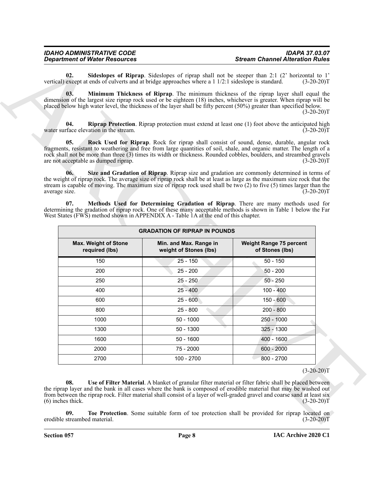<span id="page-7-5"></span><span id="page-7-4"></span><span id="page-7-3"></span><span id="page-7-2"></span><span id="page-7-1"></span><span id="page-7-0"></span>

| <b>IDAHO ADMINISTRATIVE CODE</b>     | <b>IDAPA 37.03.07</b>                  |
|--------------------------------------|----------------------------------------|
| <b>Department of Water Resources</b> | <b>Stream Channel Alteration Rules</b> |

|                                                                                                                                                                                                                                                                                                                                                               | vertical) except at ends of culverts and at bridge approaches where a 1 1/2:1 sideslope is standard.<br>$(3-20-20)T$ |                                                                                     |                                                                                                                                                                                                                                                                                                                                                                                                                                                                              |
|---------------------------------------------------------------------------------------------------------------------------------------------------------------------------------------------------------------------------------------------------------------------------------------------------------------------------------------------------------------|----------------------------------------------------------------------------------------------------------------------|-------------------------------------------------------------------------------------|------------------------------------------------------------------------------------------------------------------------------------------------------------------------------------------------------------------------------------------------------------------------------------------------------------------------------------------------------------------------------------------------------------------------------------------------------------------------------|
| Minimum Thickness of Riprap. The minimum thickness of the riprap layer shall equal the<br>03.<br>dimension of the largest size riprap rock used or be eighteen (18) inches, whichever is greater. When riprap will be<br>placed below high water level, the thickness of the layer shall be fifty percent (50%) greater than specified below.<br>$(3-20-20)T$ |                                                                                                                      |                                                                                     |                                                                                                                                                                                                                                                                                                                                                                                                                                                                              |
| 04.                                                                                                                                                                                                                                                                                                                                                           | water surface elevation in the stream.                                                                               |                                                                                     | <b>Riprap Protection.</b> Riprap protection must extend at least one (1) foot above the anticipated high<br>$(3-20-20)T$                                                                                                                                                                                                                                                                                                                                                     |
| 05.<br>06.                                                                                                                                                                                                                                                                                                                                                    | are not acceptable as dumped riprap.                                                                                 |                                                                                     | Rock Used for Riprap. Rock for riprap shall consist of sound, dense, durable, angular rock<br>fragments, resistant to weathering and free from large quantities of soil, shale, and organic matter. The length of a<br>rock shall not be more than three (3) times its width or thickness. Rounded cobbles, boulders, and streambed gravels<br>$(3-20-20)T$<br>Size and Gradation of Riprap. Riprap size and gradation are commonly determined in terms of                   |
| average size.<br>07.                                                                                                                                                                                                                                                                                                                                          |                                                                                                                      | West States (FWS) method shown in APPENDIX A - Table 1A at the end of this chapter. | the weight of riprap rock. The average size of riprap rock shall be at least as large as the maximum size rock that the<br>stream is capable of moving. The maximum size of riprap rock used shall be two $(2)$ to five $(5)$ times larger than the<br>$(3-20-20)T$<br>Methods Used for Determining Gradation of Riprap. There are many methods used for<br>determining the gradation of riprap rock. One of these many acceptable methods is shown in Table 1 below the Far |
|                                                                                                                                                                                                                                                                                                                                                               |                                                                                                                      | <b>GRADATION OF RIPRAP IN POUNDS</b>                                                |                                                                                                                                                                                                                                                                                                                                                                                                                                                                              |
| <b>Max. Weight of Stone</b><br>required (lbs)                                                                                                                                                                                                                                                                                                                 |                                                                                                                      | Min. and Max. Range in<br>weight of Stones (lbs)                                    | <b>Weight Range 75 percent</b><br>of Stones (lbs)                                                                                                                                                                                                                                                                                                                                                                                                                            |
|                                                                                                                                                                                                                                                                                                                                                               | 150                                                                                                                  | $25 - 150$                                                                          | $50 - 150$                                                                                                                                                                                                                                                                                                                                                                                                                                                                   |
|                                                                                                                                                                                                                                                                                                                                                               | 200                                                                                                                  | $25 - 200$                                                                          | $50 - 200$                                                                                                                                                                                                                                                                                                                                                                                                                                                                   |
|                                                                                                                                                                                                                                                                                                                                                               |                                                                                                                      | $25 - 250$                                                                          | $50 - 250$                                                                                                                                                                                                                                                                                                                                                                                                                                                                   |
|                                                                                                                                                                                                                                                                                                                                                               | 250                                                                                                                  |                                                                                     |                                                                                                                                                                                                                                                                                                                                                                                                                                                                              |
|                                                                                                                                                                                                                                                                                                                                                               | 400                                                                                                                  | $25 - 400$                                                                          | $100 - 400$                                                                                                                                                                                                                                                                                                                                                                                                                                                                  |
|                                                                                                                                                                                                                                                                                                                                                               | 600                                                                                                                  | $25 - 600$                                                                          | $150 - 600$                                                                                                                                                                                                                                                                                                                                                                                                                                                                  |
|                                                                                                                                                                                                                                                                                                                                                               | 800                                                                                                                  | $25 - 800$                                                                          | $200 - 800$                                                                                                                                                                                                                                                                                                                                                                                                                                                                  |
|                                                                                                                                                                                                                                                                                                                                                               | 1000                                                                                                                 | $50 - 1000$                                                                         | 250 - 1000                                                                                                                                                                                                                                                                                                                                                                                                                                                                   |
|                                                                                                                                                                                                                                                                                                                                                               | 1300                                                                                                                 | $50 - 1300$                                                                         | 325 - 1300                                                                                                                                                                                                                                                                                                                                                                                                                                                                   |
|                                                                                                                                                                                                                                                                                                                                                               | 1600                                                                                                                 | $50 - 1600$                                                                         | 400 - 1600                                                                                                                                                                                                                                                                                                                                                                                                                                                                   |
|                                                                                                                                                                                                                                                                                                                                                               | 2000                                                                                                                 | 75 - 2000                                                                           | $600 - 2000$                                                                                                                                                                                                                                                                                                                                                                                                                                                                 |
|                                                                                                                                                                                                                                                                                                                                                               | 2700                                                                                                                 | 100 - 2700                                                                          | 800 - 2700                                                                                                                                                                                                                                                                                                                                                                                                                                                                   |

#### <span id="page-7-7"></span><span id="page-7-6"></span> $(3-20-20)T$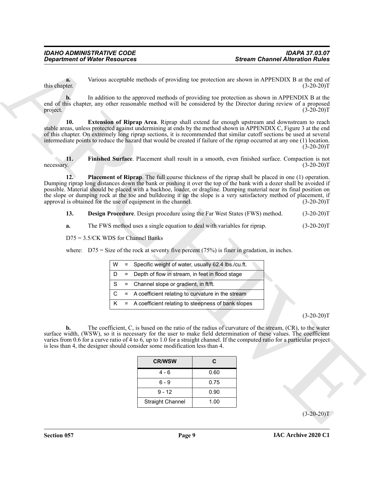**a.** Various acceptable methods of providing toe protection are shown in APPENDIX B at the end of this chapter. (3-20-20)T

**b.** In addition to the approved methods of providing toe protection as shown in APPENDIX B at the end of this chapter, any other reasonable method will be considered by the Director during review of a proposed project. (3-20-20) project.  $(3-20-20)T$ 

<span id="page-8-1"></span>**10. Extension of Riprap Area**. Riprap shall extend far enough upstream and downstream to reach stable areas, unless protected against undermining at ends by the method shown in APPENDIX C, Figure 3 at the end of this chapter. On extremely long riprap sections, it is recommended that similar cutoff sections be used at several intermediate points to reduce the hazard that would be created if failure of the riprap occurred at any one (1) location.  $(3-20-20)T$ 

<span id="page-8-3"></span><span id="page-8-2"></span>**11. Finished Surface**. Placement shall result in a smooth, even finished surface. Compaction is not necessary. (3-20-20)T

**Consideration** of Water Resonances<br>
Written accordation to the space of probable of providing sor procedures are shown in APENDIX B at the cost of<br>  $\frac{1}{2}$  and  $\frac{1}{2}$  and additional consideration in the consideratio **12. Placement of Riprap**. The full course thickness of the riprap shall be placed in one (1) operation. Dumping riprap long distances down the bank or pushing it over the top of the bank with a dozer shall be avoided if possible. Material should be placed with a backhoe, loader, or dragline. Dumping material near its final position on the slope or dumping rock at the toe and bulldozing it up the slope is a very satisfactory method of placement, if<br>approval is obtained for the use of equipment in the channel. (3-20-20) approval is obtained for the use of equipment in the channel.

<span id="page-8-0"></span>**13. Design Procedure**. Design procedure using the Far West States (FWS) method. (3-20-20)T

**a.** The FWS method uses a single equation to deal with variables for riprap.  $(3-20-20)$ T

D75 = 3.5/CK WDS for Channel Banks

where:  $D75 = Size$  of the rock at seventy five percent (75%) is finer in gradation, in inches.

|  | $W =$ Specific weight of water, usually 62.4 lbs./cu.ft. |
|--|----------------------------------------------------------|
|  | $D =$ Depth of flow in stream, in feet in flood stage    |
|  | $S =$ Channel slope or gradient, in ft/ft.               |
|  | $C = A$ coefficient relating to curvature in the stream  |
|  | $K = A$ coefficient relating to steepness of bank slopes |

 $(3-20-20)T$ 

**b.** The coefficient, C, is based on the ratio of the radius of curvature of the stream, (CR), to the water surface width, (WSW), so it is necessary for the user to make field determination of these values. The coefficient varies from 0.6 for a curve ratio of 4 to 6, up to 1.0 for a straight channel. If the computed ratio for a particular project is less than 4, the designer should consider some modification less than 4.

| <b>CR/WSW</b>           | С    |
|-------------------------|------|
| 4 - 6                   | 0.60 |
| ճ - 9                   | 0.75 |
| $9 - 12$                | 0.90 |
| <b>Straight Channel</b> | 1.00 |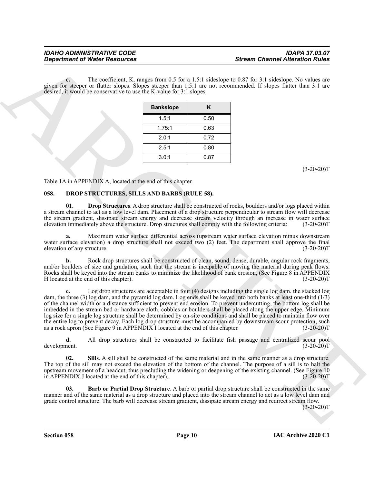**c.** The coefficient, K, ranges from 0.5 for a 1.5:1 sideslope to 0.87 for 3:1 sideslope. No values are given for steeper or flatter slopes. Slopes steeper than 1.5:1 are not recommended. If slopes flatter than 3:1 are desired, it would be conservative to use the K-value for 3:1 slopes.

| <b>Bankslope</b> | Κ    |
|------------------|------|
| 1.5:1            | 0.50 |
| 1.75:1           | 0.63 |
| 2.0:1            | 0.72 |
| 2.5:1            | 0.80 |
| 3.0:1            | 0.87 |

 $(3-20-20)T$ 

Table 1A in APPENDIX A, located at the end of this chapter.

#### <span id="page-9-1"></span><span id="page-9-0"></span>**058. DROP STRUCTURES, SILLS AND BARBS (RULE 58).**

<span id="page-9-3"></span>**Drop Structures**. A drop structure shall be constructed of rocks, boulders and/or logs placed within a stream channel to act as a low level dam. Placement of a drop structure perpendicular to stream flow will decrease the stream gradient, dissipate stream energy and decrease stream velocity through an increase in water surface elevation immediately above the structure. Drop structures shall comply with the following criteria: (3-20-20)T elevation immediately above the structure. Drop structures shall comply with the following criteria:

**a.** Maximum water surface differential across (upstream water surface elevation minus downstream water surface elevation) a drop structure shall not exceed two  $(2)$  feet. The department shall approve the final elevation of any structure. (3-20-20)T

**b.** Rock drop structures shall be constructed of clean, sound, dense, durable, angular rock fragments, and/or boulders of size and gradation, such that the stream is incapable of moving the material during peak flows. Rocks shall be keyed into the stream banks to minimize the likelihood of bank erosion, (See Figure 8 in APPENDIX<br>H located at the end of this chapter). (3-20-20) H located at the end of this chapter).

**Considered of Water Research Conservation** Stream Determined Alternation Materials of the conservation of the second technique and the second of the second of the second of the second of the second of the second of the s Log drop structures are acceptable in four (4) designs including the single log dam, the stacked log dam, the three (3) log dam, and the pyramid log dam. Log ends shall be keyed into both banks at least one-third  $(1/3)$ of the channel width or a distance sufficient to prevent end erosion. To prevent undercutting, the bottom log shall be imbedded in the stream bed or hardware cloth, cobbles or boulders shall be placed along the upper edge. Minimum log size for a single log structure shall be determined by on-site conditions and shall be placed to maintain flow over the entire log to prevent decay. Each log drop structure must be accompanied by downstream scour protection, such as a rock apron (See Figure 9 in APPENDIX I located at the end of this chapter. (3-20-20) as a rock apron (See Figure 9 in APPENDIX I located at the end of this chapter.

**d.** All drop structures shall be constructed to facilitate fish passage and centralized scour pool nent.  $(3-20-20)T$ development.

<span id="page-9-4"></span>**02.** Sills. A sill shall be constructed of the same material and in the same manner as a drop structure. The top of the sill may not exceed the elevation of the bottom of the channel. The purpose of a sill is to halt the upstream movement of a headcut, thus precluding the widening or deepening of the existing channel. (See Figure 10 in APPENDIX J located at the end of this chapter). (3-20-20)T

<span id="page-9-2"></span>**03. Barb or Partial Drop Structure**. A barb or partial drop structure shall be constructed in the same manner and of the same material as a drop structure and placed into the stream channel to act as a low level dam and grade control structure. The barb will decrease stream gradient, dissipate stream energy and redirect stream flow.

 $(3-20-20)T$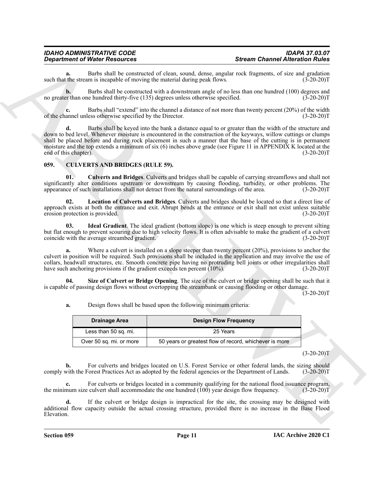### *IDAHO ADMINISTRATIVE CODE IDAPA 37.03.07*

**a.** Barbs shall be constructed of clean, sound, dense, angular rock fragments, of size and gradation the stream is incapable of moving the material during peak flows. (3-20-20) such that the stream is incapable of moving the material during peak flows.

**b.** Barbs shall be constructed with a downstream angle of no less than one hundred (100) degrees and per than one hundred thirty-five (135) degrees unless otherwise specified. (3-20-20) no greater than one hundred thirty-five (135) degrees unless otherwise specified.

**c.** Barbs shall "extend" into the channel a distance of not more than twenty percent (20%) of the width annel unless otherwise specified by the Director. (3-20-20) of the channel unless otherwise specified by the Director.

**Department of New Associates of the any other specifies that we are consistent of the animal state of the animal state of the animal state of the animal state of the animal state of the animal state of the animal state o d.** Barbs shall be keyed into the bank a distance equal to or greater than the width of the structure and down to bed level. Whenever moisture is encountered in the construction of the keyways, willow cuttings or clumps shall be placed before and during rock placement in such a manner that the base of the cutting is in permanent moisture and the top extends a minimum of six (6) inches above grade (see Figure 11 in APPENDIX K located at the end of this chapter). (3-20-20)T

#### <span id="page-10-1"></span><span id="page-10-0"></span>**059. CULVERTS AND BRIDGES (RULE 59).**

<span id="page-10-2"></span>**01. Culverts and Bridges**. Culverts and bridges shall be capable of carrying streamflows and shall not significantly alter conditions upstream or downstream by causing flooding, turbidity, or other problems. The appearance of such installations shall not detract from the natural surroundings of the area. (3-20-20)T

<span id="page-10-4"></span>**02. Location of Culverts and Bridges**. Culverts and bridges should be located so that a direct line of approach exists at both the entrance and exit. Abrupt bends at the entrance or exit shall not exist unless suitable erosion protection is provided. (3-20-20)T

<span id="page-10-3"></span>**03. Ideal Gradient**. The ideal gradient (bottom slope) is one which is steep enough to prevent silting but flat enough to prevent scouring due to high velocity flows. It is often advisable to make the gradient of a culvert<br>coincide with the average streambed gradient. (3-20-20) coincide with the average streambed gradient.

Where a culvert is installed on a slope steeper than twenty percent  $(20\%)$ , provisions to anchor the culvert in position will be required. Such provisions shall be included in the application and may involve the use of collars, headwall structures, etc. Smooth concrete pipe having no protruding bell joints or other irregularities shall have such anchoring provisions if the gradient exceeds ten percent (10%). (3-20-20)T

**Size of Culvert or Bridge Opening**. The size of the culvert or bridge opening shall be such that it is capable of passing design flows without overtopping the streambank or causing flooding or other damage.

 $(3-20-20)$ T

<span id="page-10-5"></span>**a.** Design flows shall be based upon the following minimum criteria:

| Drainage Area           | <b>Design Flow Frequency</b>                           |  |
|-------------------------|--------------------------------------------------------|--|
| Less than 50 sq. mi.    | 25 Years                                               |  |
| Over 50 sq. mi. or more | 50 years or greatest flow of record, whichever is more |  |

 $(3-20-20)T$ 

**b.** For culverts and bridges located on U.S. Forest Service or other federal lands, the sizing should with the Forest Practices Act as adopted by the federal agencies or the Department of Lands. (3-20-20)T comply with the Forest Practices Act as adopted by the federal agencies or the Department of Lands.

For culverts or bridges located in a community qualifying for the national flood issuance program, culvert shall accommodate the one hundred (100) year design flow frequency. (3-20-20)T the minimum size culvert shall accommodate the one hundred  $(100)$  year design flow frequency.

**d.** If the culvert or bridge design is impractical for the site, the crossing may be designed with additional flow capacity outside the actual crossing structure, provided there is no increase in the Base Flood Elevation.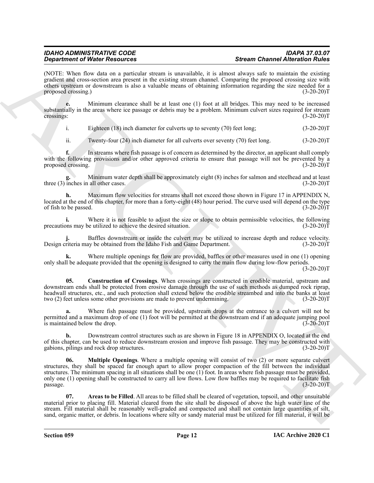(NOTE: When flow data on a particular stream is unavailable, it is almost always safe to maintain the existing gradient and cross-section area present in the existing stream channel. Comparing the proposed crossing size with others upstream or downstream is also a valuable means of obtaining information regarding the size needed for a proposed crossing.)

**e.** Minimum clearance shall be at least one (1) foot at all bridges. This may need to be increased substantially in the areas where ice passage or debris may be a problem. Minimum culvert sizes required for stream crossings: (3-20-20)T crossings: (3-20-20)T

i. Eighteen (18) inch diameter for culverts up to seventy (70) feet long; (3-20-20)T

ii. Twenty-four (24) inch diameter for all culverts over seventy (70) feet long. (3-20-20)T

**f.** In streams where fish passage is of concern as determined by the director, an applicant shall comply with the following provisions and/or other approved criteria to ensure that passage will not be prevented by a<br>proposed crossing. (3-20-20)T proposed crossing.

**g.** Minimum water depth shall be approximately eight (8) inches for salmon and steelhead and at least three (3) inches in all other cases. (3-20-20)T

**h.** Maximum flow velocities for streams shall not exceed those shown in Figure 17 in APPENDIX N, located at the end of this chapter, for more than a forty-eight (48) hour period. The curve used will depend on the type of fish to be passed. (3-20-20)T of fish to be passed.

**i.** Where it is not feasible to adjust the size or slope to obtain permissible velocities, the following ons may be utilized to achieve the desired situation. (3-20-20) precautions may be utilized to achieve the desired situation.

Baffles downstream or inside the culvert may be utilized to increase depth and reduce velocity.<br>ay be obtained from the Idaho Fish and Game Department. (3-20-20)T Design criteria may be obtained from the Idaho Fish and Game Department.

Where multiple openings for flow are provided, baffles or other measures used in one (1) opening only shall be adequate provided that the opening is designed to carry the main flow during low-flow periods.

 $(3-20-20)T$ 

<span id="page-11-1"></span>**05. Construction of Crossings**. When crossings are constructed in erodible material, upstream and downstream ends shall be protected from erosive damage through the use of such methods as dumped rock riprap, headwall structures, etc., and such protection shall extend below the erodible streambed and into the banks at least two (2) feet unless some other provisions are made to prevent undermining. (3-20-20)T

**a.** Where fish passage must be provided, upstream drops at the entrance to a culvert will not be permitted and a maximum drop of one (1) foot will be permitted at the downstream end if an adequate jumping pool is maintained below the drop. (3-20-20)T

<span id="page-11-2"></span>**b.** Downstream control structures such as are shown in Figure 18 in APPENDIX O, located at the end of this chapter, can be used to reduce downstream erosion and improve fish passage. They may be constructed with gabions, pilings and rock drop structures. (3-20-20) gabions, pilings and rock drop structures.

**Solution of Water Presentation** and the main concellely, a statem **Conceller of the main of Altimistics** in the state of the main of the main of the main of the main of the main of the main of the main of the main of the **06. Multiple Openings**. Where a multiple opening will consist of two (2) or more separate culvert structures, they shall be spaced far enough apart to allow proper compaction of the fill between the individual structures. The minimum spacing in all situations shall be one  $(1)$  foot. In areas where fish passage must be provided, only one (1) opening shall be constructed to carry all low flows. Low flow baffles may be required to facilitate fish  $passage.$  (3-20-20)T

<span id="page-11-0"></span>**07. Areas to be Filled**. All areas to be filled shall be cleared of vegetation, topsoil, and other unsuitable material prior to placing fill. Material cleared from the site shall be disposed of above the high water line of the stream. Fill material shall be reasonably well-graded and compacted and shall not contain large quantities of silt, sand, organic matter, or debris. In locations where silty or sandy material must be utilized for fill material, it will be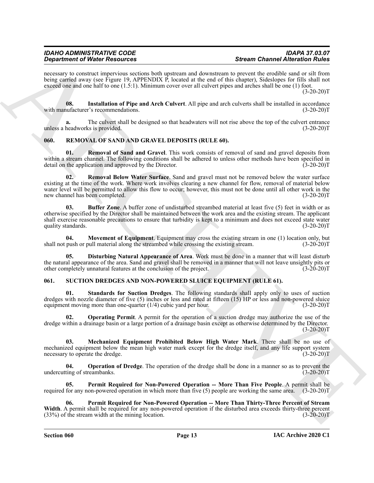## *Department of Water Resources*

necessary to construct impervious sections both upstream and downstream to prevent the erodible sand or silt from being carried away (see Figure 19, APPENDIX P, located at the end of this chapter), Sideslopes for fills shall not exceed one and one half to one (1.5:1). Minimum cover over all culvert pipes and arches shall be one (1) foot.  $(3-20-20)T$ 

<span id="page-12-2"></span>**08.** Installation of Pipe and Arch Culvert. All pipe and arch culverts shall be installed in accordance unfacturer's recommendations. (3-20-20) with manufacturer's recommendations.

**a.** The culvert shall be designed so that headwaters will not rise above the top of the culvert entrance unless a headworks is provided. (3-20-20)T

#### <span id="page-12-3"></span><span id="page-12-0"></span>**060. REMOVAL OF SAND AND GRAVEL DEPOSITS (RULE 60).**

<span id="page-12-8"></span><span id="page-12-7"></span>**Removal of Sand and Gravel**. This work consists of removal of sand and gravel deposits from within a stream channel. The following conditions shall be adhered to unless other methods have been specified in detail on the application and approved by the Director. (3-20-20)T

**Signation of Water Securities** with the late the same of the same Channel After Minimum and the same Channel After Minimum and the same Channel After Minimum and the same Channel After Minimum and the same Channel Securi **02. Removal Below Water Surface**. Sand and gravel must not be removed below the water surface existing at the time of the work. Where work involves clearing a new channel for flow, removal of material below water level will be permitted to allow this flow to occur; however, this must not be done until all other work in the new channel has been completed. (3-20-20)T

<span id="page-12-4"></span>**Buffer Zone**. A buffer zone of undisturbed streambed material at least five (5) feet in width or as otherwise specified by the Director shall be maintained between the work area and the existing stream. The applicant shall exercise reasonable precautions to ensure that turbidity is kept to a minimum and does not exceed state water quality standards. (3-20-20) quality standards.

<span id="page-12-6"></span>**04.** Movement of Equipment. Equipment may cross the existing stream in one (1) location only, but push or pull material along the streambed while crossing the existing stream. (3-20-20) shall not push or pull material along the streambed while crossing the existing stream.

<span id="page-12-5"></span>**05. Disturbing Natural Appearance of Area**. Work must be done in a manner that will least disturb the natural appearance of the area. Sand and gravel shall be removed in a manner that will not leave unsightly pits or other completely unnatural features at the conclusion of the project. (3-20-20)T

#### <span id="page-12-9"></span><span id="page-12-1"></span>**061. SUCTION DREDGES AND NON-POWERED SLUICE EQUIPMENT (RULE 61).**

<span id="page-12-15"></span>**Standards for Suction Dredges**. The following standards shall apply only to uses of suction dredges with nozzle diameter of five (5) inches or less and rated at fifteen (15) HP or less and non-powered sluice equipment moving more than one-quarter (1/4) cubic yard per hour. (3-20-20)T

<span id="page-12-11"></span>**Operating Permit.** A permit for the operation of a suction dredge may authorize the use of the dredge within a drainage basin or a large portion of a drainage basin except as otherwise determined by the Director.  $(3-20-20)T$ 

<span id="page-12-10"></span>**03. Mechanized Equipment Prohibited Below High Water Mark**. There shall be no use of mechanized equipment below the mean high water mark except for the dredge itself, and any life support system necessary to operate the dredge. (3-20-20)T

<span id="page-12-12"></span>**04. Operation of Dredge**. The operation of the dredge shall be done in a manner so as to prevent the ting of streambanks. (3-20-20) undercutting of streambanks.

<span id="page-12-13"></span>**05. Permit Required for Non-Powered Operation -- More Than Five People**. A permit shall be required for any non-powered operation in which more than five (5) people are working the same area. (3-20-20)T

<span id="page-12-14"></span>**06. Permit Required for Non-Powered Operation -- More Than Thirty-Three Percent of Stream Width**. A permit shall be required for any non-powered operation if the disturbed area exceeds thirty-three percent  $(33%)$  of the stream width at the mining location.  $(3-20-20)$ T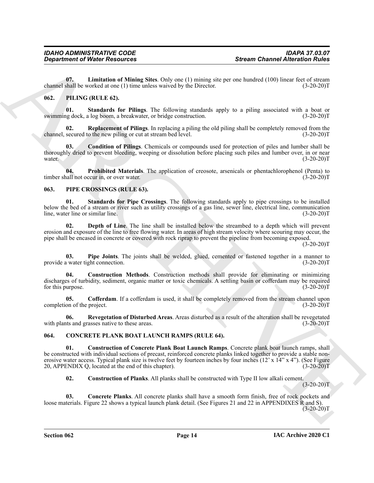<span id="page-13-19"></span>**07. Limitation of Mining Sites**. Only one (1) mining site per one hundred (100) linear feet of stream channel shall be worked at one (1) time unless waived by the Director. (3-20-20)T

#### <span id="page-13-11"></span><span id="page-13-7"></span><span id="page-13-0"></span>**062. PILING (RULE 62).**

**01. Standards for Pilings**. The following standards apply to a piling associated with a boat or swimming dock, a log boom, a breakwater, or bridge construction.

<span id="page-13-10"></span>**Replacement of Pilings**. In replacing a piling the old piling shall be completely removed from the o the new piling or cut at stream bed level. (3-20-20) channel, secured to the new piling or cut at stream bed level.

<span id="page-13-8"></span>**03. Condition of Pilings**. Chemicals or compounds used for protection of piles and lumber shall be thoroughly dried to prevent bleeding, weeping or dissolution before placing such piles and lumber over, in or near water. (3-20-20)T

<span id="page-13-9"></span>**04. Prohibited Materials**. The application of creosote, arsenicals or phentachlorophenol (Penta) to call not occur in, or over water. (3-20-20) timber shall not occur in, or over water.

#### <span id="page-13-12"></span><span id="page-13-1"></span>**063. PIPE CROSSINGS (RULE 63).**

<span id="page-13-18"></span>**01. Standards for Pipe Crossings**. The following standards apply to pipe crossings to be installed below the bed of a stream or river such as utility crossings of a gas line, sewer line, electrical line, communication line, water line or similar line. (3-20-20)T

<span id="page-13-15"></span>**02. Depth of Line**. The line shall be installed below the streambed to a depth which will prevent erosion and exposure of the line to free flowing water. In areas of high stream velocity where scouring may occur, the pipe shall be encased in concrete or covered with rock riprap to prevent the pipeline from becoming exposed.

 $(3-20-20)T$ 

<span id="page-13-16"></span>**03.** Pipe Joints. The joints shall be welded, glued, cemented or fastened together in a manner to a water tight connection. (3-20-20) provide a water tight connection.

<span id="page-13-14"></span>**04. Construction Methods**. Construction methods shall provide for eliminating or minimizing discharges of turbidity, sediment, organic matter or toxic chemicals. A settling basin or cofferdam may be required for this purpose. (3-20-20)T

<span id="page-13-13"></span>**05. Cofferdam**. If a cofferdam is used, it shall be completely removed from the stream channel upon completion of the project. (3-20-20)T

<span id="page-13-17"></span>**06. Revegetation of Disturbed Areas**. Areas disturbed as a result of the alteration shall be revegetated with plants and grasses native to these areas. (3-20-20)T

#### <span id="page-13-3"></span><span id="page-13-2"></span>**064. CONCRETE PLANK BOAT LAUNCH RAMPS (RULE 64).**

**Exparament of Ninter Research 18. Stream Channel Alternition Wales<br>
Conservation of Ninter Schwarz (1) the mission Copy one 1) Emina are per cons hundred (100) innor level at**  $\alpha$ **<br>
Conservation of the mission of the miss 01. Construction of Concrete Plank Boat Launch Ramps**. Concrete plank boat launch ramps, shall be constructed with individual sections of precast, reinforced concrete planks linked together to provide a stable nonerosive water access. Typical plank size is twelve feet by fourteen inches by four inches  $(12' \times 14'' \times 4'')$ . (See Figure 20, APPENDIX Q, located at the end of this chapter). 20, APPENDIX Q, located at the end of this chapter).

<span id="page-13-6"></span><span id="page-13-5"></span><span id="page-13-4"></span>**02. Construction of Planks**. All planks shall be constructed with Type II low alkali cement.

 $(3-20-20)T$ 

**03. Concrete Planks**. All concrete planks shall have a smooth form finish, free of rock pockets and loose materials. Figure 22 shows a typical launch plank detail. (See Figures 21 and 22 in APPENDIXES R and S).  $(3-20-20)T$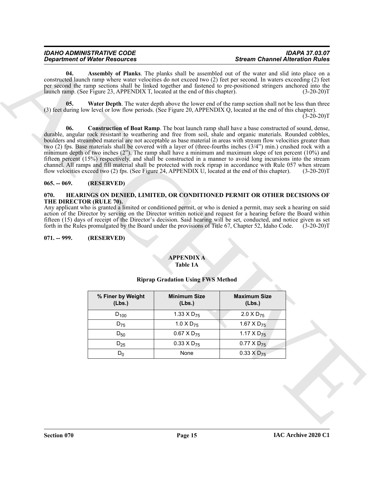#### *IDAHO ADMINISTRATIVE CODE IDAPA 37.03.07 Department of Water Resources Stream Channel Alteration Rules*

<span id="page-14-4"></span>**04. Assembly of Planks**. The planks shall be assembled out of the water and slid into place on a constructed launch ramp where water velocities do not exceed two (2) feet per second. In waters exceeding (2) feet per second the ramp sections shall be linked together and fastened to pre-positioned stringers anchored into the launch ramp. (See Figure 23, APPENDIX T, located at the end of this chapter). (3-20-20)T

<span id="page-14-6"></span><span id="page-14-5"></span>**05. Water Depth**. The water depth above the lower end of the ramp section shall not be less than three (3) feet during low level or low flow periods. (See Figure 20, APPENDIX Q, located at the end of this chapter).  $(3-20-20)$ T

**Expandent of New Yorks and Schule Control and Schule Control and Schule Control and Schule Control and Schule Control and Schule Control and Schule Control and Schule Control and Schule Control and Schule Control and Sch 06. Construction of Boat Ramp**. The boat launch ramp shall have a base constructed of sound, dense, durable, angular rock resistant to weathering and free from soil, shale and organic materials. Rounded cobbles, boulders and streambed material are not acceptable as base material in areas with stream flow velocities greater than two (2) fps. Base materials shall be covered with a layer of (three-fourths inches (3/4") min.) crushed rock with a minimum depth of two inches  $(2)$ . The ramp shall have a minimum and maximum slope of ten percent  $(10\%)$  and fifteen percent (15%) respectively, and shall be constructed in a manner to avoid long incursions into the stream channel. All ramps and fill material shall be protected with rock riprap in accordance with Rule 057 when stream<br>flow velocities exceed two (2) fps. (See Figure 24, APPENDIX U, located at the end of this chapter). (3-20-20 flow velocities exceed two (2) fps. (See Figure 24, APPENDIX U, located at the end of this chapter).

#### <span id="page-14-0"></span>**065. -- 069. (RESERVED)**

#### <span id="page-14-7"></span><span id="page-14-1"></span>**070. HEARINGS ON DENIED, LIMITED, OR CONDITIONED PERMIT OR OTHER DECISIONS OF THE DIRECTOR (RULE 70).**

Any applicant who is granted a limited or conditioned permit, or who is denied a permit, may seek a hearing on said action of the Director by serving on the Director written notice and request for a hearing before the Board within fifteen (15) days of receipt of the Director's decision. Said hearing will be set, conducted, and notice given as set forth in the Rules promulgated by the Board under the provisions of Title 67, Chapter 52, Idaho Code. <sup>(3-20-20)T</sup>

#### <span id="page-14-2"></span>**071. -- 999. (RESERVED)**

#### <span id="page-14-3"></span>**APPENDIX A Table 1A**

#### **Riprap Gradation Using FWS Method**

| % Finer by Weight<br>(Lbs.) | <b>Minimum Size</b><br>(Lbs.) | <b>Maximum Size</b><br>(Lbs.) |
|-----------------------------|-------------------------------|-------------------------------|
| $D_{100}$                   | 1.33 X $D_{75}$               | 2.0 X D <sub>75</sub>         |
| $D_{75}$                    | 1.0 $\times$ D <sub>75</sub>  | 1.67 X $D_{75}$               |
| $D_{50}$                    | $0.67$ X D <sub>75</sub>      | 1.17 $\times$ D <sub>75</sub> |
| $D_{25}$                    | $0.33 \times D_{75}$          | $0.77 \times D_{75}$          |
| Ͻი                          | None                          | $0.33 \times D_{75}$          |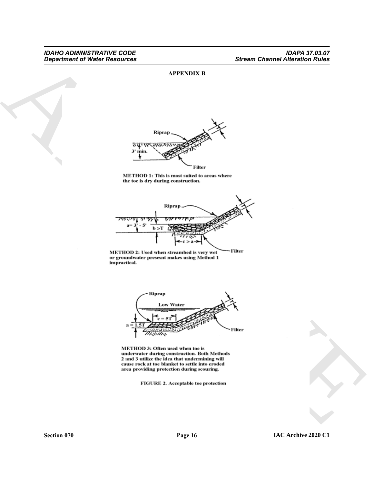#### <span id="page-15-0"></span>**APPENDIX B**





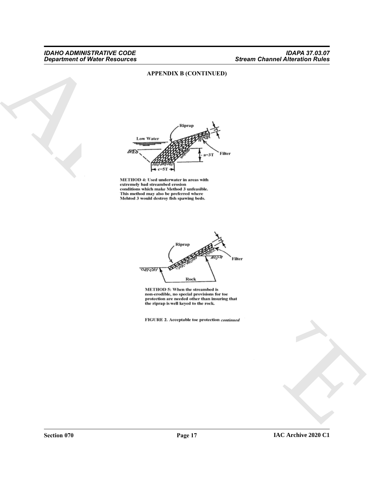#### <span id="page-16-0"></span>**APPENDIX B (CONTINUED)**

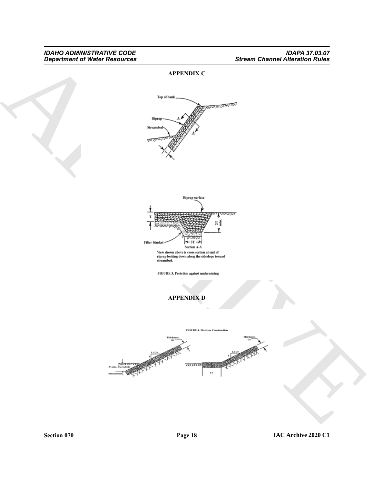## *Department of Water Resources Stream Channel Alteration Rules*

#### <span id="page-17-0"></span>**APPENDIX C**



<span id="page-17-1"></span>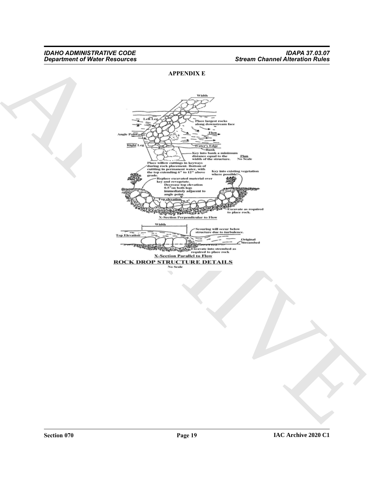#### <span id="page-18-0"></span>**APPENDIX E**

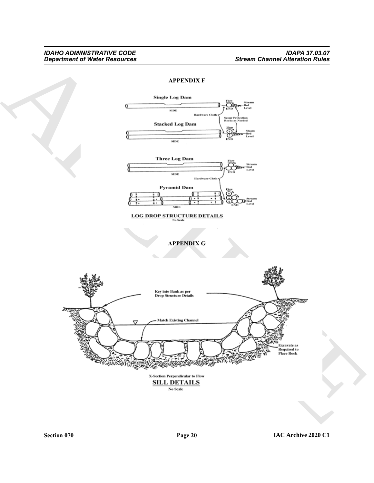<span id="page-19-1"></span><span id="page-19-0"></span>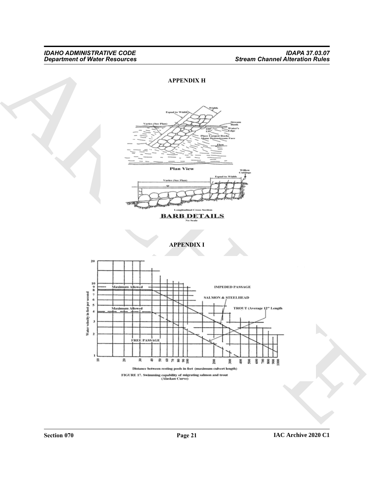<span id="page-20-1"></span><span id="page-20-0"></span>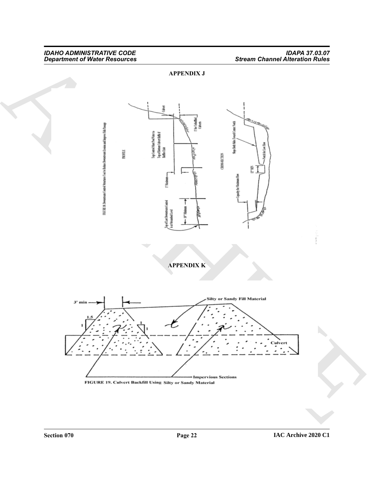## <span id="page-21-1"></span><span id="page-21-0"></span>*Department of Water Resources Stream Channel Alteration Rules*

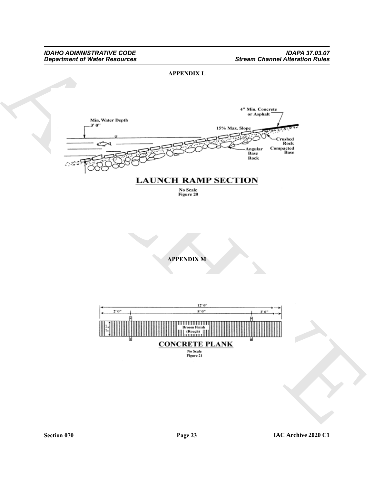

<span id="page-22-0"></span>**APPENDIX L**

<span id="page-22-1"></span>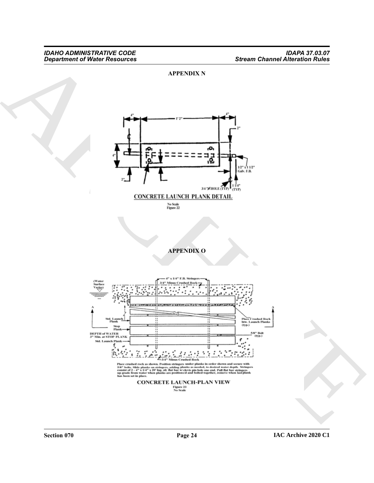#### <span id="page-23-1"></span><span id="page-23-0"></span>**APPENDIX N**

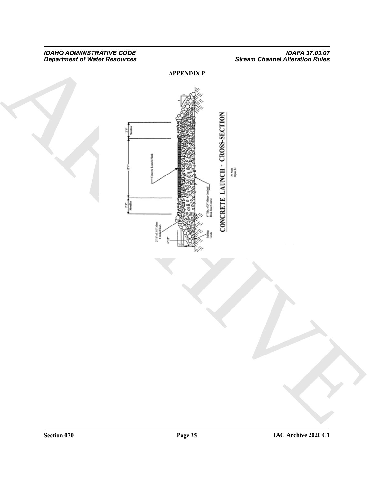## <span id="page-24-0"></span>*Department of Water Resources Stream Channel Alteration Rules*

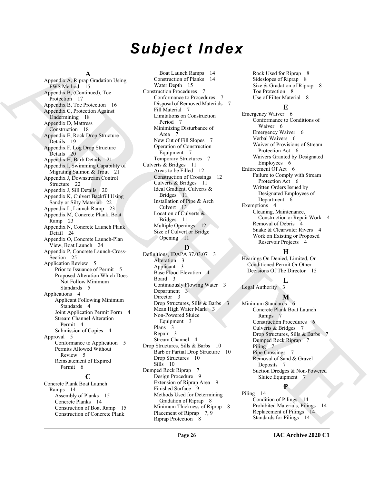## *Subject Index*

#### **A**

[A](#page-14-3)pplies A strong continuous continuous continuous and the strong of the strong of the strong of the strong of the strong of the strong of the strong of the strong of the strong of the strong of the strong of the strong of Appendix A, Riprap Gradation Using FWS Method 15 Appendix B, (Continued), Toe Protection 17 Appendix B, Toe Protection 16 Appendix C, Protection Against Undermining 18 Appendix D, Mattress Construction 18 Appendix E, Rock Drop Structure Details 19 Appendix F, Log Drop Structure Details 20 Appendix H, Barb Details 21 Appendix I, Swimming Capability of Migrating Salmon & Trout 21 Appendix J, Downstream Control Structure 22 Appendix J, Sill Details 20 Appendix K, Culvert Backfill Using Sandy or Silty Material 22 Appendix L, Launch Ramp 23 Appendix M, Concrete Plank, Boat Ramp 23 Appendix N, Concrete Launch Plank Detail 24 Appendix O, Concrete Launch-Plan View, Boat Launch 24 Appendix P, Concrete Launch-Cross-Section 25 Application Review 5 Prior to Issuance of Permit 5 Proposed Alteration Which Does Not Follow Minimum Standards 5 Applications 4 Applicant Following Minimum Standards 4 Joint Application Permit Form 4 Stream Channel Alteration Permit 4 Submission of Copies 4 Approval 5 Conformance to Application 5 Permits Allowed Without Review 5 Reinstatement of Expired Permit 6

#### **C**

Concrete Plank Boat Launch Ramps 14 Assembly of Planks 15 Concrete Planks 14 Construction of Boat Ramp 15 Construction of Concrete Plank

Boat Launch Ramps 14 Construction of Planks 14 Water Depth 15 Construction Procedures 7 Conformance to Procedures 7 Disposal of Removed Materials 7 Fill Material 7 Limitations on Construction Period 7 Minimizing Disturbance of Area 7 New Cut of Fill Slopes 7 Operation of Construction Equipment 7 Temporary Structures 7 Culverts & Bridges 11 Areas to be Filled 12 Construction of Crossings 12 Culverts & Bridges 11 Ideal Gradient, Culverts & Bridges 11 Installation of Pipe & Arch Culvert<sub>13</sub> Location of Culverts & Bridges 11 Multiple Openings 12 Size of Culvert or Bridge Opening 11

#### **D**

Definitions, IDAPA 37.03.07 3 Alteration 3 Applicant 3 Base Flood Elevation 4 Board 3 Continuously Flowing Water 3 Department 3 Director 3 Drop Structures, Sills & Barbs 3 Mean High Water Mark 3 Non-Powered Sluice Equipment 3 Plans 3 Repair 3 Stream Channel 4 Drop Structures, Sills & Barbs 10 Barb or Partial Drop Structure 10 Drop Structures 10 Sills 10 Dumped Rock Riprap 7 Design Procedure 9 Extension of Riprap Area 9 Finished Surface 9 Methods Used for Determining Gradation of Riprap 8 Minimum Thickness of Riprap 8 Placement of Riprap 7, 9 Riprap Protection 8

Rock Used for Riprap 8 Sideslopes of Riprap 8 Size & Gradation of Riprap 8 Toe Protection 8 Use of Filter Material 8

#### **E**

Emergency Waiver 6 Conformance to Conditions of Waiver 6 Emergency Waiver 6 Verbal Waivers 6 Waiver of Provisions of Stream Protection Act 6 Waivers Granted by Designated Employees 6 Enforcement Of Act 6 Failure to Comply with Stream Protection Act 6 Written Orders Issued by Designated Employees of Department 6 Exemptions 4 Cleaning, Maintenance, Construction or Repair Work 4 Removal of Debris 4 Snake & Clearwater Rivers 4 Work on Existing or Proposed Reservoir Projects 4

#### **H**

Hearings On Denied, Limited, Or Conditioned Permit Or Other Decisions Of The Director 15

Legal Authority 3

#### **M**

**L**

Minimum Standards 6 Concrete Plank Boat Launch Ramps 7 Construction Procedures Culverts & Bridges 7 Drop Structures, Sills & Barbs 7 Dumped Rock Riprap 7 Piling 7 Pipe Crossings 7 Removal of Sand & Gravel Deposits 7 Suction Dredges & Non-Powered Sluice Equipment 7

#### **P**

Piling 14 Condition of Pilings 14 Prohibited Materials, Pilings 14 Replacement of Pilings 14 Standards for Pilings 14